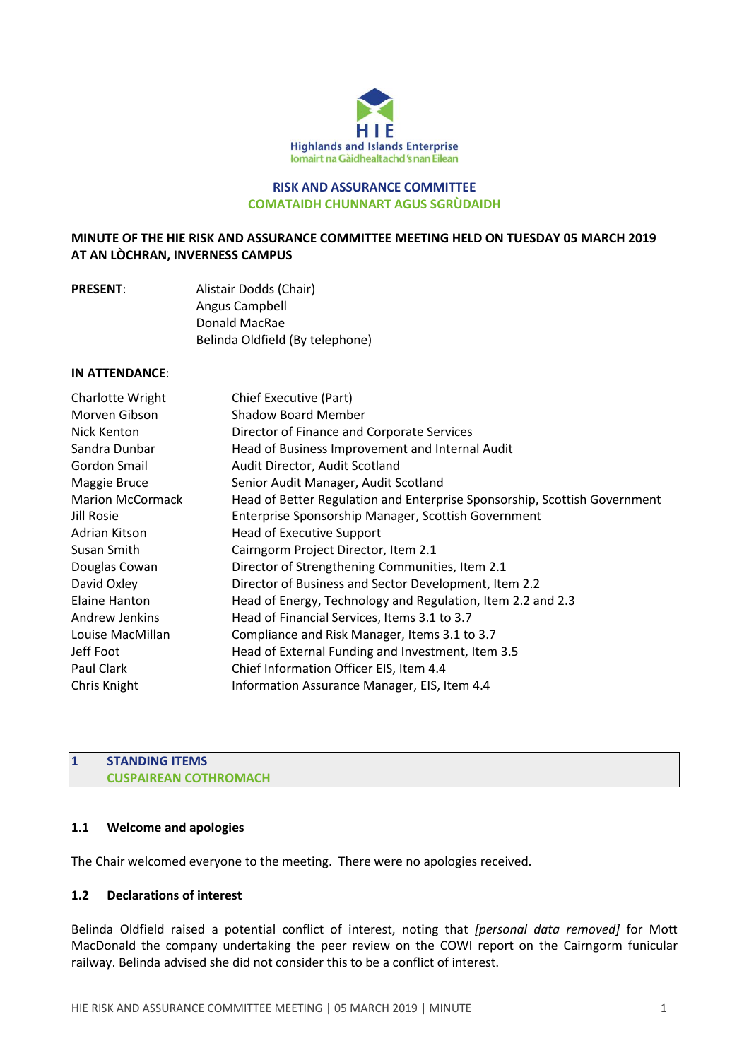

### **RISK AND ASSURANCE COMMITTEE COMATAIDH CHUNNART AGUS SGRÙDAIDH**

## **MINUTE OF THE HIE RISK AND ASSURANCE COMMITTEE MEETING HELD ON TUESDAY 05 MARCH 2019 AT AN LÒCHRAN, INVERNESS CAMPUS**

| <b>PRESENT:</b> | Alistair Dodds (Chair)          |
|-----------------|---------------------------------|
|                 | Angus Campbell                  |
|                 | Donald MacRae                   |
|                 | Belinda Oldfield (By telephone) |

### **IN ATTENDANCE**:

| Charlotte Wright        | Chief Executive (Part)                                                    |
|-------------------------|---------------------------------------------------------------------------|
| Morven Gibson           | <b>Shadow Board Member</b>                                                |
| Nick Kenton             | Director of Finance and Corporate Services                                |
| Sandra Dunbar           | Head of Business Improvement and Internal Audit                           |
| Gordon Smail            | Audit Director, Audit Scotland                                            |
| Maggie Bruce            | Senior Audit Manager, Audit Scotland                                      |
| <b>Marion McCormack</b> | Head of Better Regulation and Enterprise Sponsorship, Scottish Government |
| Jill Rosie              | Enterprise Sponsorship Manager, Scottish Government                       |
| Adrian Kitson           | Head of Executive Support                                                 |
| Susan Smith             | Cairngorm Project Director, Item 2.1                                      |
| Douglas Cowan           | Director of Strengthening Communities, Item 2.1                           |
| David Oxley             | Director of Business and Sector Development, Item 2.2                     |
| Elaine Hanton           | Head of Energy, Technology and Regulation, Item 2.2 and 2.3               |
| Andrew Jenkins          | Head of Financial Services, Items 3.1 to 3.7                              |
| Louise MacMillan        | Compliance and Risk Manager, Items 3.1 to 3.7                             |
| Jeff Foot               | Head of External Funding and Investment, Item 3.5                         |
| Paul Clark              | Chief Information Officer EIS, Item 4.4                                   |
| Chris Knight            | Information Assurance Manager, EIS, Item 4.4                              |

### **1 STANDING ITEMS CUSPAIREAN COTHROMACH**

#### **1.1 Welcome and apologies**

The Chair welcomed everyone to the meeting. There were no apologies received.

### **1.2 Declarations of interest**

Belinda Oldfield raised a potential conflict of interest, noting that *[personal data removed]* for Mott MacDonald the company undertaking the peer review on the COWI report on the Cairngorm funicular railway. Belinda advised she did not consider this to be a conflict of interest.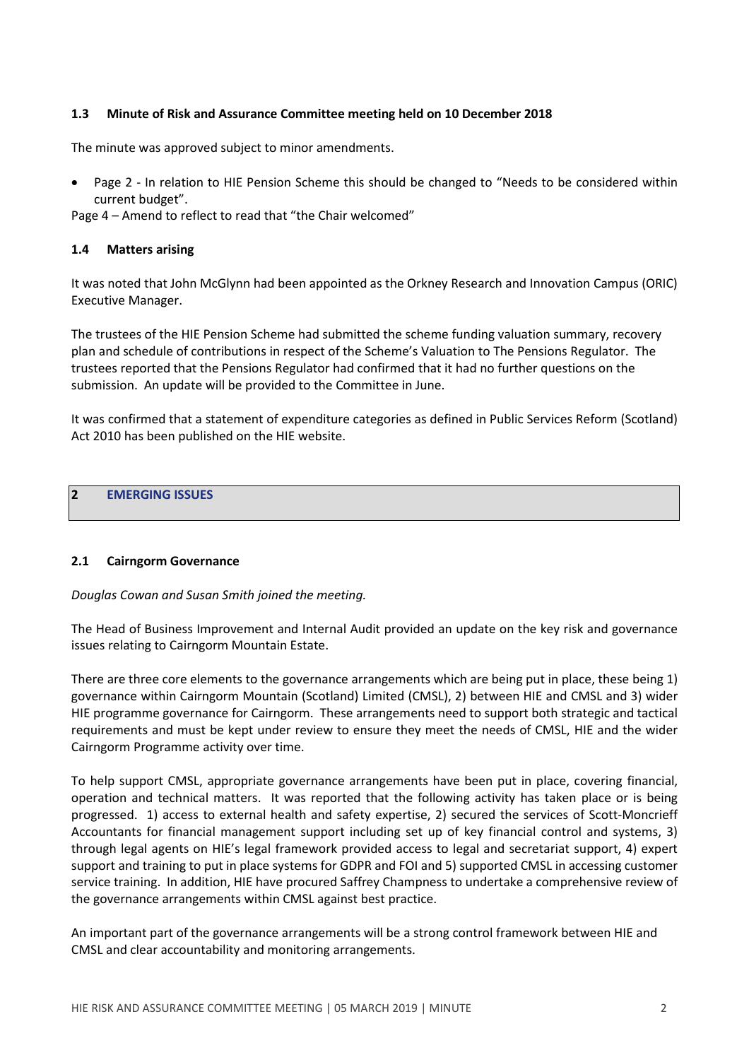### **1.3 Minute of Risk and Assurance Committee meeting held on 10 December 2018**

The minute was approved subject to minor amendments.

Page 2 - In relation to HIE Pension Scheme this should be changed to "Needs to be considered within current budget".

Page 4 – Amend to reflect to read that "the Chair welcomed"

### **1.4 Matters arising**

It was noted that John McGlynn had been appointed as the Orkney Research and Innovation Campus (ORIC) Executive Manager.

The trustees of the HIE Pension Scheme had submitted the scheme funding valuation summary, recovery plan and schedule of contributions in respect of the Scheme's Valuation to The Pensions Regulator. The trustees reported that the Pensions Regulator had confirmed that it had no further questions on the submission. An update will be provided to the Committee in June.

It was confirmed that a statement of expenditure categories as defined in Public Services Reform (Scotland) Act 2010 has been published on the HIE website.

# **2 EMERGING ISSUES**

#### **2.1 Cairngorm Governance**

*Douglas Cowan and Susan Smith joined the meeting.*

The Head of Business Improvement and Internal Audit provided an update on the key risk and governance issues relating to Cairngorm Mountain Estate.

There are three core elements to the governance arrangements which are being put in place, these being 1) governance within Cairngorm Mountain (Scotland) Limited (CMSL), 2) between HIE and CMSL and 3) wider HIE programme governance for Cairngorm. These arrangements need to support both strategic and tactical requirements and must be kept under review to ensure they meet the needs of CMSL, HIE and the wider Cairngorm Programme activity over time.

To help support CMSL, appropriate governance arrangements have been put in place, covering financial, operation and technical matters. It was reported that the following activity has taken place or is being progressed. 1) access to external health and safety expertise, 2) secured the services of Scott-Moncrieff Accountants for financial management support including set up of key financial control and systems, 3) through legal agents on HIE's legal framework provided access to legal and secretariat support, 4) expert support and training to put in place systems for GDPR and FOI and 5) supported CMSL in accessing customer service training. In addition, HIE have procured Saffrey Champness to undertake a comprehensive review of the governance arrangements within CMSL against best practice.

An important part of the governance arrangements will be a strong control framework between HIE and CMSL and clear accountability and monitoring arrangements.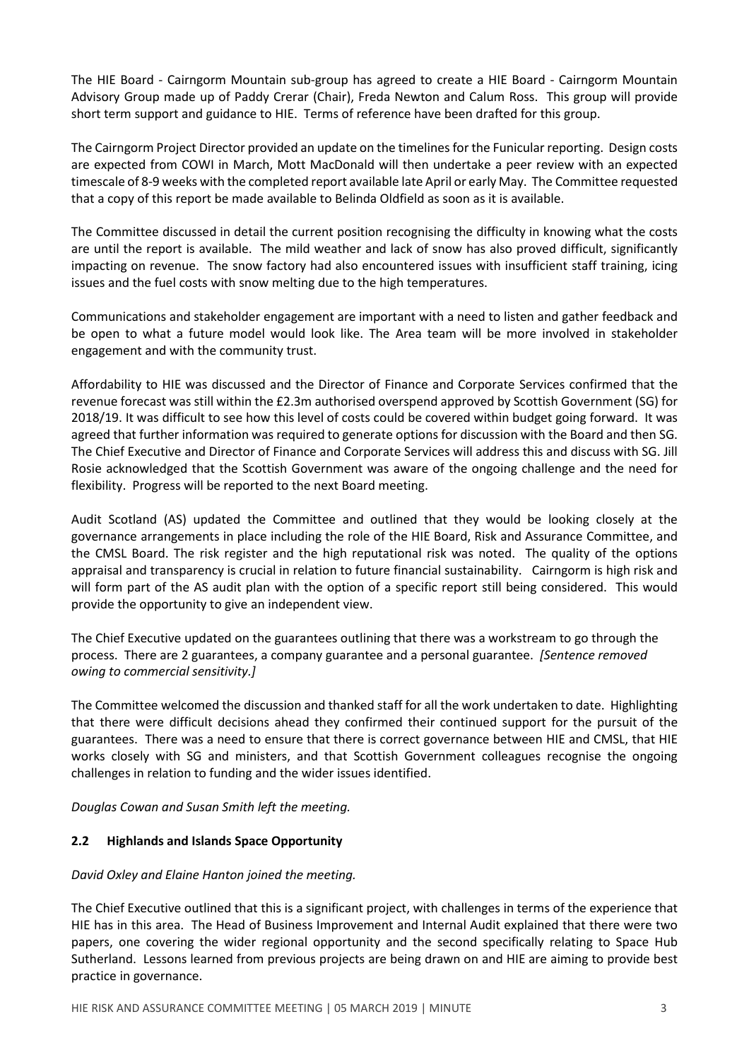The HIE Board - Cairngorm Mountain sub-group has agreed to create a HIE Board - Cairngorm Mountain Advisory Group made up of Paddy Crerar (Chair), Freda Newton and Calum Ross. This group will provide short term support and guidance to HIE. Terms of reference have been drafted for this group.

The Cairngorm Project Director provided an update on the timelinesfor the Funicular reporting. Design costs are expected from COWI in March, Mott MacDonald will then undertake a peer review with an expected timescale of 8-9 weeks with the completed report available late April or early May. The Committee requested that a copy of this report be made available to Belinda Oldfield as soon as it is available.

The Committee discussed in detail the current position recognising the difficulty in knowing what the costs are until the report is available. The mild weather and lack of snow has also proved difficult, significantly impacting on revenue. The snow factory had also encountered issues with insufficient staff training, icing issues and the fuel costs with snow melting due to the high temperatures.

Communications and stakeholder engagement are important with a need to listen and gather feedback and be open to what a future model would look like. The Area team will be more involved in stakeholder engagement and with the community trust.

Affordability to HIE was discussed and the Director of Finance and Corporate Services confirmed that the revenue forecast was still within the £2.3m authorised overspend approved by Scottish Government (SG) for 2018/19. It was difficult to see how this level of costs could be covered within budget going forward. It was agreed that further information was required to generate options for discussion with the Board and then SG. The Chief Executive and Director of Finance and Corporate Services will address this and discuss with SG. Jill Rosie acknowledged that the Scottish Government was aware of the ongoing challenge and the need for flexibility. Progress will be reported to the next Board meeting.

Audit Scotland (AS) updated the Committee and outlined that they would be looking closely at the governance arrangements in place including the role of the HIE Board, Risk and Assurance Committee, and the CMSL Board. The risk register and the high reputational risk was noted. The quality of the options appraisal and transparency is crucial in relation to future financial sustainability. Cairngorm is high risk and will form part of the AS audit plan with the option of a specific report still being considered. This would provide the opportunity to give an independent view.

The Chief Executive updated on the guarantees outlining that there was a workstream to go through the process. There are 2 guarantees, a company guarantee and a personal guarantee. *[Sentence removed owing to commercial sensitivity.]*

The Committee welcomed the discussion and thanked staff for all the work undertaken to date. Highlighting that there were difficult decisions ahead they confirmed their continued support for the pursuit of the guarantees. There was a need to ensure that there is correct governance between HIE and CMSL, that HIE works closely with SG and ministers, and that Scottish Government colleagues recognise the ongoing challenges in relation to funding and the wider issues identified.

*Douglas Cowan and Susan Smith left the meeting.*

## **2.2 Highlands and Islands Space Opportunity**

#### *David Oxley and Elaine Hanton joined the meeting.*

The Chief Executive outlined that this is a significant project, with challenges in terms of the experience that HIE has in this area. The Head of Business Improvement and Internal Audit explained that there were two papers, one covering the wider regional opportunity and the second specifically relating to Space Hub Sutherland. Lessons learned from previous projects are being drawn on and HIE are aiming to provide best practice in governance.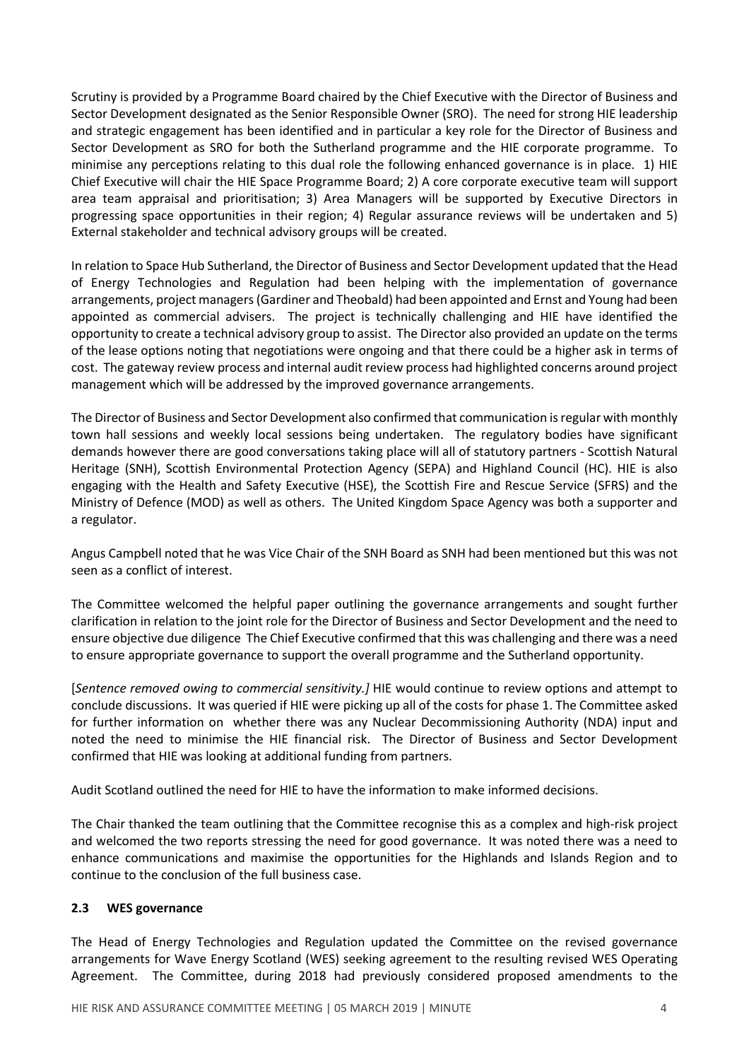Scrutiny is provided by a Programme Board chaired by the Chief Executive with the Director of Business and Sector Development designated as the Senior Responsible Owner (SRO). The need for strong HIE leadership and strategic engagement has been identified and in particular a key role for the Director of Business and Sector Development as SRO for both the Sutherland programme and the HIE corporate programme. To minimise any perceptions relating to this dual role the following enhanced governance is in place. 1) HIE Chief Executive will chair the HIE Space Programme Board; 2) A core corporate executive team will support area team appraisal and prioritisation; 3) Area Managers will be supported by Executive Directors in progressing space opportunities in their region; 4) Regular assurance reviews will be undertaken and 5) External stakeholder and technical advisory groups will be created.

In relation to Space Hub Sutherland, the Director of Business and Sector Development updated that the Head of Energy Technologies and Regulation had been helping with the implementation of governance arrangements, project managers(Gardiner and Theobald) had been appointed and Ernst and Young had been appointed as commercial advisers. The project is technically challenging and HIE have identified the opportunity to create a technical advisory group to assist. The Director also provided an update on the terms of the lease options noting that negotiations were ongoing and that there could be a higher ask in terms of cost. The gateway review process and internal audit review process had highlighted concerns around project management which will be addressed by the improved governance arrangements.

The Director of Business and Sector Development also confirmed that communication isregular with monthly town hall sessions and weekly local sessions being undertaken. The regulatory bodies have significant demands however there are good conversations taking place will all of statutory partners - Scottish Natural Heritage (SNH), Scottish Environmental Protection Agency (SEPA) and Highland Council (HC). HIE is also engaging with the Health and Safety Executive (HSE), the Scottish Fire and Rescue Service (SFRS) and the Ministry of Defence (MOD) as well as others. The United Kingdom Space Agency was both a supporter and a regulator.

Angus Campbell noted that he was Vice Chair of the SNH Board as SNH had been mentioned but this was not seen as a conflict of interest.

The Committee welcomed the helpful paper outlining the governance arrangements and sought further clarification in relation to the joint role for the Director of Business and Sector Development and the need to ensure objective due diligence The Chief Executive confirmed that this was challenging and there was a need to ensure appropriate governance to support the overall programme and the Sutherland opportunity.

[*Sentence removed owing to commercial sensitivity.]* HIE would continue to review options and attempt to conclude discussions. It was queried if HIE were picking up all of the costs for phase 1. The Committee asked for further information on whether there was any Nuclear Decommissioning Authority (NDA) input and noted the need to minimise the HIE financial risk. The Director of Business and Sector Development confirmed that HIE was looking at additional funding from partners.

Audit Scotland outlined the need for HIE to have the information to make informed decisions.

The Chair thanked the team outlining that the Committee recognise this as a complex and high-risk project and welcomed the two reports stressing the need for good governance. It was noted there was a need to enhance communications and maximise the opportunities for the Highlands and Islands Region and to continue to the conclusion of the full business case.

## **2.3 WES governance**

The Head of Energy Technologies and Regulation updated the Committee on the revised governance arrangements for Wave Energy Scotland (WES) seeking agreement to the resulting revised WES Operating Agreement. The Committee, during 2018 had previously considered proposed amendments to the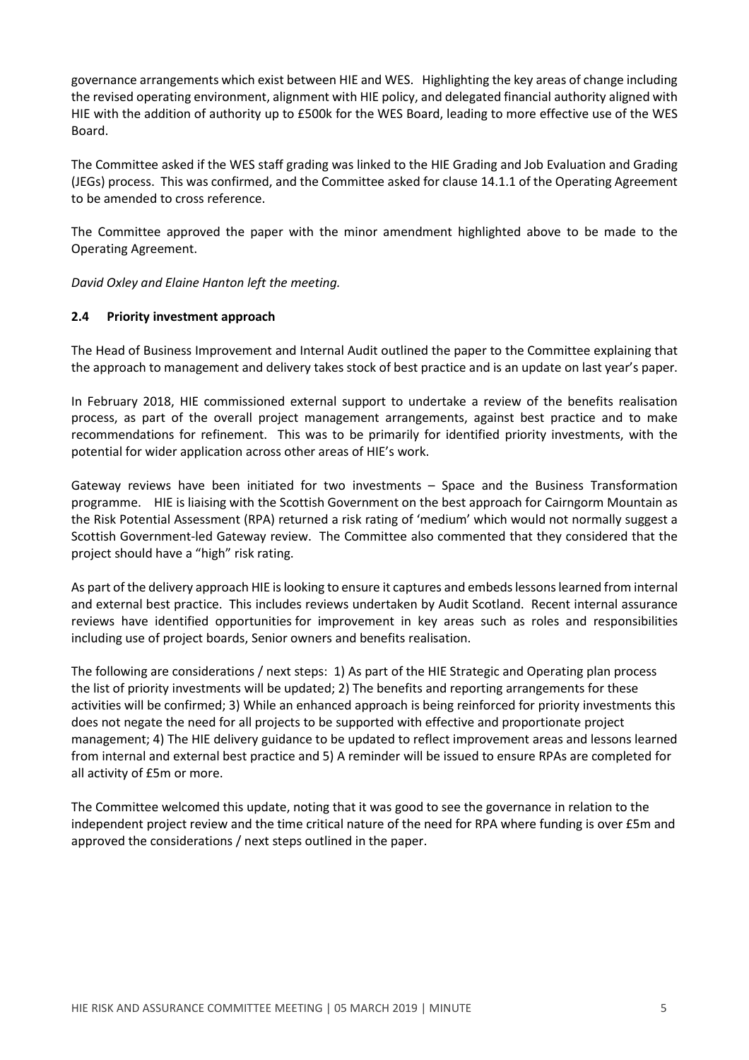governance arrangements which exist between HIE and WES. Highlighting the key areas of change including the revised operating environment, alignment with HIE policy, and delegated financial authority aligned with HIE with the addition of authority up to £500k for the WES Board, leading to more effective use of the WES Board.

The Committee asked if the WES staff grading was linked to the HIE Grading and Job Evaluation and Grading (JEGs) process. This was confirmed, and the Committee asked for clause 14.1.1 of the Operating Agreement to be amended to cross reference.

The Committee approved the paper with the minor amendment highlighted above to be made to the Operating Agreement.

*David Oxley and Elaine Hanton left the meeting.*

### **2.4 Priority investment approach**

The Head of Business Improvement and Internal Audit outlined the paper to the Committee explaining that the approach to management and delivery takes stock of best practice and is an update on last year's paper.

In February 2018, HIE commissioned external support to undertake a review of the benefits realisation process, as part of the overall project management arrangements, against best practice and to make recommendations for refinement. This was to be primarily for identified priority investments, with the potential for wider application across other areas of HIE's work.

Gateway reviews have been initiated for two investments – Space and the Business Transformation programme. HIE is liaising with the Scottish Government on the best approach for Cairngorm Mountain as the Risk Potential Assessment (RPA) returned a risk rating of 'medium' which would not normally suggest a Scottish Government-led Gateway review. The Committee also commented that they considered that the project should have a "high" risk rating.

As part of the delivery approach HIE is looking to ensure it captures and embeds lessons learned from internal and external best practice. This includes reviews undertaken by Audit Scotland. Recent internal assurance reviews have identified opportunities for improvement in key areas such as roles and responsibilities including use of project boards, Senior owners and benefits realisation.

The following are considerations / next steps: 1) As part of the HIE Strategic and Operating plan process the list of priority investments will be updated; 2) The benefits and reporting arrangements for these activities will be confirmed; 3) While an enhanced approach is being reinforced for priority investments this does not negate the need for all projects to be supported with effective and proportionate project management; 4) The HIE delivery guidance to be updated to reflect improvement areas and lessons learned from internal and external best practice and 5) A reminder will be issued to ensure RPAs are completed for all activity of £5m or more.

The Committee welcomed this update, noting that it was good to see the governance in relation to the independent project review and the time critical nature of the need for RPA where funding is over £5m and approved the considerations / next steps outlined in the paper.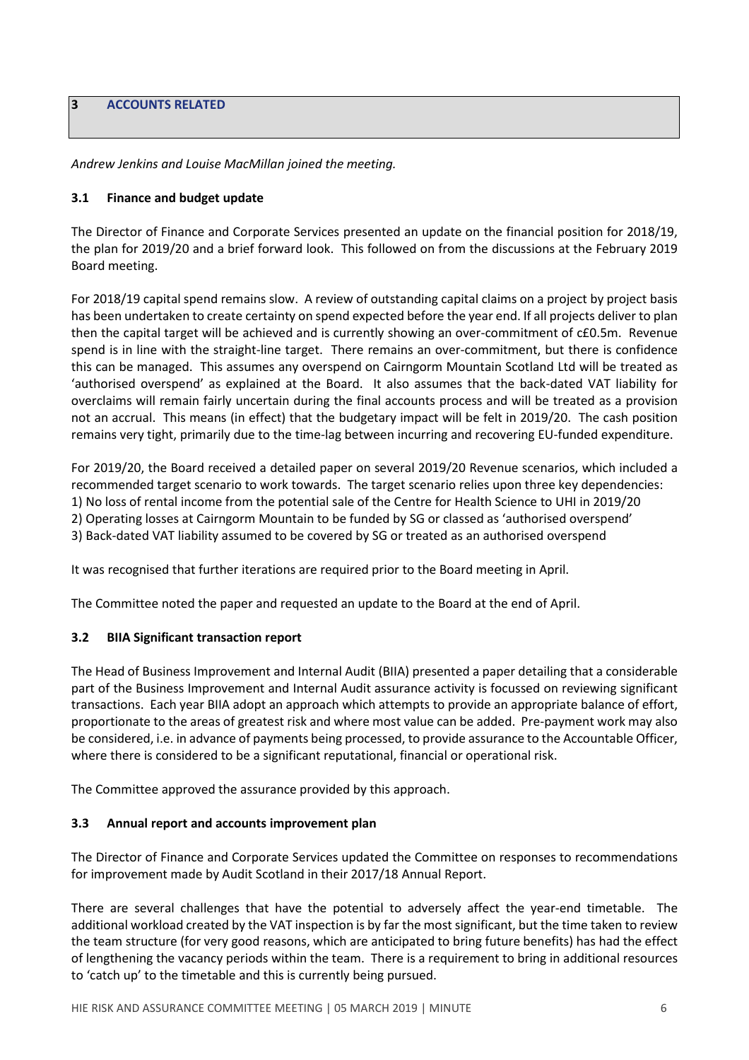**3 ACCOUNTS RELATED**

*Andrew Jenkins and Louise MacMillan joined the meeting.*

### **3.1 Finance and budget update**

The Director of Finance and Corporate Services presented an update on the financial position for 2018/19, the plan for 2019/20 and a brief forward look. This followed on from the discussions at the February 2019 Board meeting.

For 2018/19 capital spend remains slow. A review of outstanding capital claims on a project by project basis has been undertaken to create certainty on spend expected before the year end. If all projects deliver to plan then the capital target will be achieved and is currently showing an over-commitment of c£0.5m. Revenue spend is in line with the straight-line target. There remains an over-commitment, but there is confidence this can be managed. This assumes any overspend on Cairngorm Mountain Scotland Ltd will be treated as 'authorised overspend' as explained at the Board. It also assumes that the back-dated VAT liability for overclaims will remain fairly uncertain during the final accounts process and will be treated as a provision not an accrual. This means (in effect) that the budgetary impact will be felt in 2019/20. The cash position remains very tight, primarily due to the time-lag between incurring and recovering EU-funded expenditure.

For 2019/20, the Board received a detailed paper on several 2019/20 Revenue scenarios, which included a recommended target scenario to work towards. The target scenario relies upon three key dependencies: 1) No loss of rental income from the potential sale of the Centre for Health Science to UHI in 2019/20 2) Operating losses at Cairngorm Mountain to be funded by SG or classed as 'authorised overspend' 3) Back-dated VAT liability assumed to be covered by SG or treated as an authorised overspend

It was recognised that further iterations are required prior to the Board meeting in April.

The Committee noted the paper and requested an update to the Board at the end of April.

## **3.2 BIIA Significant transaction report**

The Head of Business Improvement and Internal Audit (BIIA) presented a paper detailing that a considerable part of the Business Improvement and Internal Audit assurance activity is focussed on reviewing significant transactions. Each year BIIA adopt an approach which attempts to provide an appropriate balance of effort, proportionate to the areas of greatest risk and where most value can be added. Pre-payment work may also be considered, i.e. in advance of payments being processed, to provide assurance to the Accountable Officer, where there is considered to be a significant reputational, financial or operational risk.

The Committee approved the assurance provided by this approach.

#### **3.3 Annual report and accounts improvement plan**

The Director of Finance and Corporate Services updated the Committee on responses to recommendations for improvement made by Audit Scotland in their 2017/18 Annual Report.

There are several challenges that have the potential to adversely affect the year-end timetable. The additional workload created by the VAT inspection is by far the most significant, but the time taken to review the team structure (for very good reasons, which are anticipated to bring future benefits) has had the effect of lengthening the vacancy periods within the team. There is a requirement to bring in additional resources to 'catch up' to the timetable and this is currently being pursued.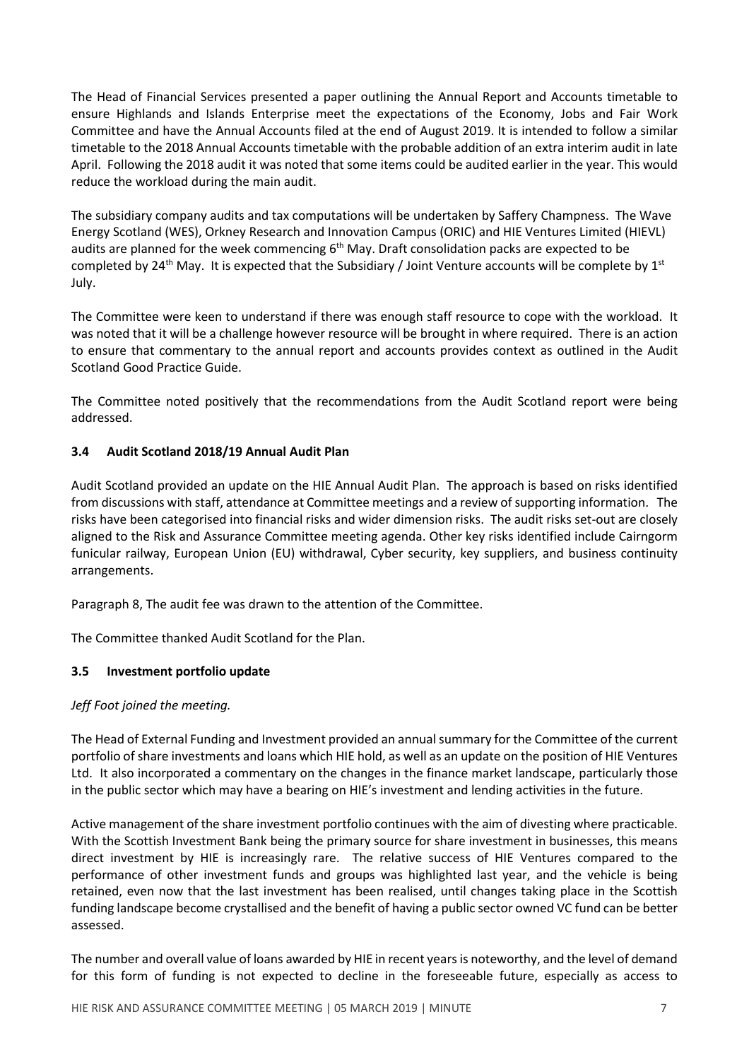The Head of Financial Services presented a paper outlining the Annual Report and Accounts timetable to ensure Highlands and Islands Enterprise meet the expectations of the Economy, Jobs and Fair Work Committee and have the Annual Accounts filed at the end of August 2019. It is intended to follow a similar timetable to the 2018 Annual Accounts timetable with the probable addition of an extra interim audit in late April. Following the 2018 audit it was noted that some items could be audited earlier in the year. This would reduce the workload during the main audit.

The subsidiary company audits and tax computations will be undertaken by Saffery Champness. The Wave Energy Scotland (WES), Orkney Research and Innovation Campus (ORIC) and HIE Ventures Limited (HIEVL) audits are planned for the week commencing 6<sup>th</sup> May. Draft consolidation packs are expected to be completed by 24<sup>th</sup> May. It is expected that the Subsidiary / Joint Venture accounts will be complete by  $1^\text{st}$ July.

The Committee were keen to understand if there was enough staff resource to cope with the workload. It was noted that it will be a challenge however resource will be brought in where required. There is an action to ensure that commentary to the annual report and accounts provides context as outlined in the Audit Scotland Good Practice Guide.

The Committee noted positively that the recommendations from the Audit Scotland report were being addressed.

# **3.4 Audit Scotland 2018/19 Annual Audit Plan**

Audit Scotland provided an update on the HIE Annual Audit Plan. The approach is based on risks identified from discussions with staff, attendance at Committee meetings and a review of supporting information. The risks have been categorised into financial risks and wider dimension risks. The audit risks set-out are closely aligned to the Risk and Assurance Committee meeting agenda. Other key risks identified include Cairngorm funicular railway, European Union (EU) withdrawal, Cyber security, key suppliers, and business continuity arrangements.

Paragraph 8, The audit fee was drawn to the attention of the Committee.

The Committee thanked Audit Scotland for the Plan.

## **3.5 Investment portfolio update**

## *Jeff Foot joined the meeting.*

The Head of External Funding and Investment provided an annualsummary for the Committee of the current portfolio of share investments and loans which HIE hold, as well as an update on the position of HIE Ventures Ltd. It also incorporated a commentary on the changes in the finance market landscape, particularly those in the public sector which may have a bearing on HIE's investment and lending activities in the future.

Active management of the share investment portfolio continues with the aim of divesting where practicable. With the Scottish Investment Bank being the primary source for share investment in businesses, this means direct investment by HIE is increasingly rare. The relative success of HIE Ventures compared to the performance of other investment funds and groups was highlighted last year, and the vehicle is being retained, even now that the last investment has been realised, until changes taking place in the Scottish funding landscape become crystallised and the benefit of having a public sector owned VC fund can be better assessed.

The number and overall value of loans awarded by HIE in recent yearsis noteworthy, and the level of demand for this form of funding is not expected to decline in the foreseeable future, especially as access to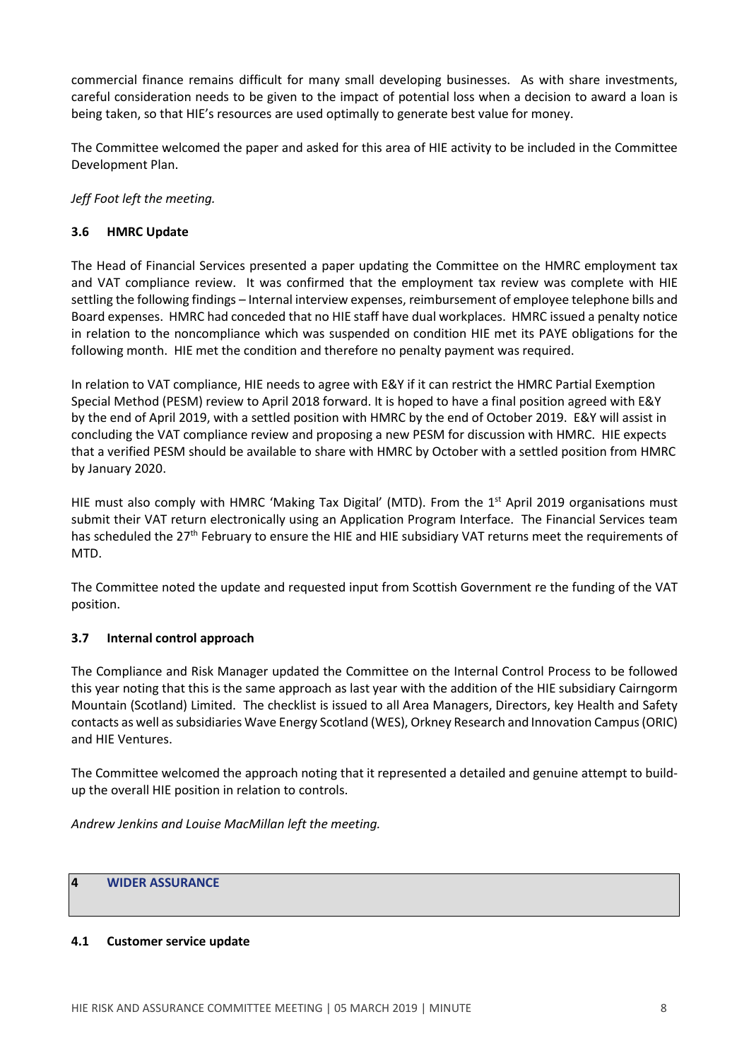commercial finance remains difficult for many small developing businesses. As with share investments, careful consideration needs to be given to the impact of potential loss when a decision to award a loan is being taken, so that HIE's resources are used optimally to generate best value for money.

The Committee welcomed the paper and asked for this area of HIE activity to be included in the Committee Development Plan.

*Jeff Foot left the meeting.*

## **3.6 HMRC Update**

The Head of Financial Services presented a paper updating the Committee on the HMRC employment tax and VAT compliance review. It was confirmed that the employment tax review was complete with HIE settling the following findings – Internal interview expenses, reimbursement of employee telephone bills and Board expenses. HMRC had conceded that no HIE staff have dual workplaces. HMRC issued a penalty notice in relation to the noncompliance which was suspended on condition HIE met its PAYE obligations for the following month. HIE met the condition and therefore no penalty payment was required.

In relation to VAT compliance, HIE needs to agree with E&Y if it can restrict the HMRC Partial Exemption Special Method (PESM) review to April 2018 forward. It is hoped to have a final position agreed with E&Y by the end of April 2019, with a settled position with HMRC by the end of October 2019. E&Y will assist in concluding the VAT compliance review and proposing a new PESM for discussion with HMRC. HIE expects that a verified PESM should be available to share with HMRC by October with a settled position from HMRC by January 2020.

HIE must also comply with HMRC 'Making Tax Digital' (MTD). From the 1<sup>st</sup> April 2019 organisations must submit their VAT return electronically using an Application Program Interface. The Financial Services team has scheduled the 27<sup>th</sup> February to ensure the HIE and HIE subsidiary VAT returns meet the requirements of MTD.

The Committee noted the update and requested input from Scottish Government re the funding of the VAT position.

#### **3.7 Internal control approach**

The Compliance and Risk Manager updated the Committee on the Internal Control Process to be followed this year noting that this is the same approach as last year with the addition of the HIE subsidiary Cairngorm Mountain (Scotland) Limited. The checklist is issued to all Area Managers, Directors, key Health and Safety contacts as well assubsidiaries Wave Energy Scotland (WES), Orkney Research and Innovation Campus(ORIC) and HIE Ventures.

The Committee welcomed the approach noting that it represented a detailed and genuine attempt to buildup the overall HIE position in relation to controls.

*Andrew Jenkins and Louise MacMillan left the meeting.*

## **4 WIDER ASSURANCE**

#### **4.1 Customer service update**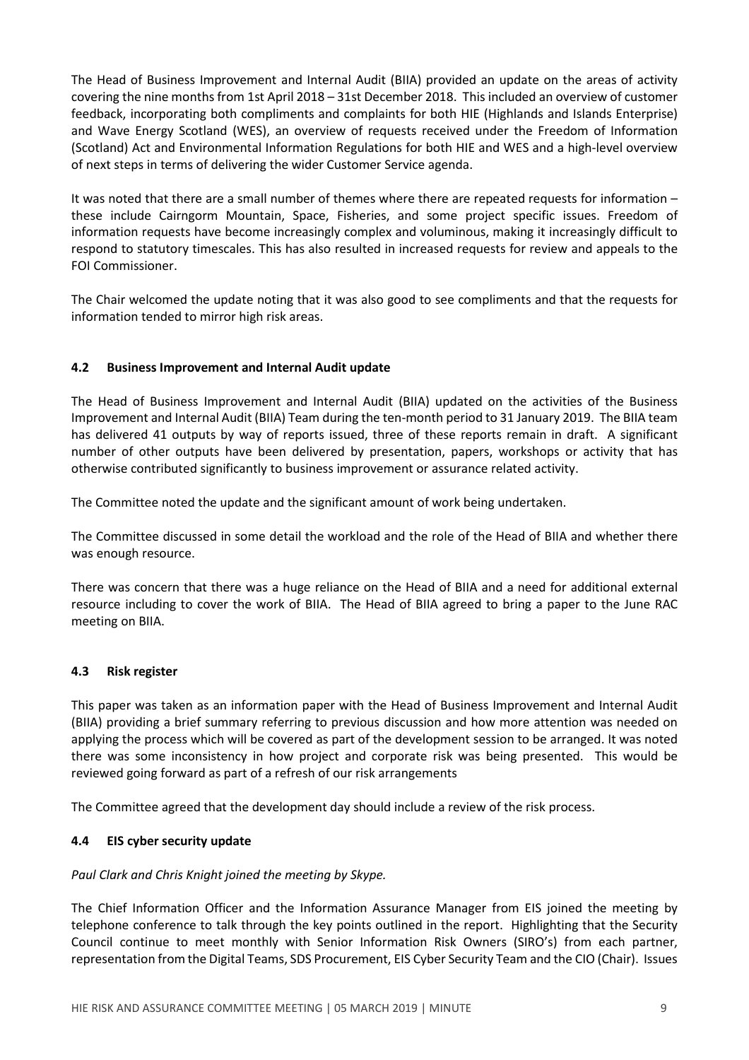The Head of Business Improvement and Internal Audit (BIIA) provided an update on the areas of activity covering the nine months from 1st April 2018 – 31st December 2018. This included an overview of customer feedback, incorporating both compliments and complaints for both HIE (Highlands and Islands Enterprise) and Wave Energy Scotland (WES), an overview of requests received under the Freedom of Information (Scotland) Act and Environmental Information Regulations for both HIE and WES and a high-level overview of next steps in terms of delivering the wider Customer Service agenda.

It was noted that there are a small number of themes where there are repeated requests for information – these include Cairngorm Mountain, Space, Fisheries, and some project specific issues. Freedom of information requests have become increasingly complex and voluminous, making it increasingly difficult to respond to statutory timescales. This has also resulted in increased requests for review and appeals to the FOI Commissioner.

The Chair welcomed the update noting that it was also good to see compliments and that the requests for information tended to mirror high risk areas.

## **4.2 Business Improvement and Internal Audit update**

The Head of Business Improvement and Internal Audit (BIIA) updated on the activities of the Business Improvement and Internal Audit (BIIA) Team during the ten-month period to 31 January 2019. The BIIA team has delivered 41 outputs by way of reports issued, three of these reports remain in draft. A significant number of other outputs have been delivered by presentation, papers, workshops or activity that has otherwise contributed significantly to business improvement or assurance related activity.

The Committee noted the update and the significant amount of work being undertaken.

The Committee discussed in some detail the workload and the role of the Head of BIIA and whether there was enough resource.

There was concern that there was a huge reliance on the Head of BIIA and a need for additional external resource including to cover the work of BIIA. The Head of BIIA agreed to bring a paper to the June RAC meeting on BIIA.

## **4.3 Risk register**

This paper was taken as an information paper with the Head of Business Improvement and Internal Audit (BIIA) providing a brief summary referring to previous discussion and how more attention was needed on applying the process which will be covered as part of the development session to be arranged. It was noted there was some inconsistency in how project and corporate risk was being presented. This would be reviewed going forward as part of a refresh of our risk arrangements

The Committee agreed that the development day should include a review of the risk process.

## **4.4 EIS cyber security update**

#### *Paul Clark and Chris Knight joined the meeting by Skype.*

The Chief Information Officer and the Information Assurance Manager from EIS joined the meeting by telephone conference to talk through the key points outlined in the report. Highlighting that the Security Council continue to meet monthly with Senior Information Risk Owners (SIRO's) from each partner, representation from the Digital Teams, SDS Procurement, EIS Cyber Security Team and the CIO (Chair). Issues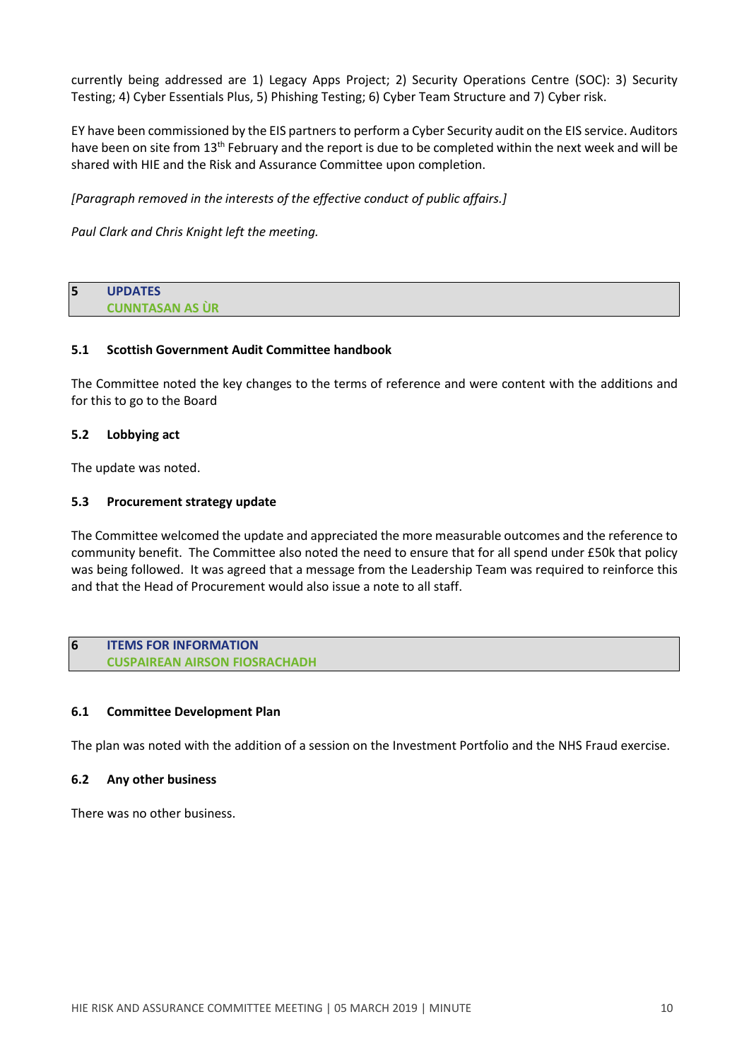currently being addressed are 1) Legacy Apps Project; 2) Security Operations Centre (SOC): 3) Security Testing; 4) Cyber Essentials Plus, 5) Phishing Testing; 6) Cyber Team Structure and 7) Cyber risk.

EY have been commissioned by the EIS partners to perform a Cyber Security audit on the EIS service. Auditors have been on site from 13<sup>th</sup> February and the report is due to be completed within the next week and will be shared with HIE and the Risk and Assurance Committee upon completion.

*[Paragraph removed in the interests of the effective conduct of public affairs.]*

*Paul Clark and Chris Knight left the meeting.*

| 5 | <b>UPDATES</b>         |
|---|------------------------|
|   | <b>CUNNTASAN AS ÙR</b> |

#### **5.1 Scottish Government Audit Committee handbook**

The Committee noted the key changes to the terms of reference and were content with the additions and for this to go to the Board

### **5.2 Lobbying act**

The update was noted.

### **5.3 Procurement strategy update**

The Committee welcomed the update and appreciated the more measurable outcomes and the reference to community benefit. The Committee also noted the need to ensure that for all spend under £50k that policy was being followed. It was agreed that a message from the Leadership Team was required to reinforce this and that the Head of Procurement would also issue a note to all staff.

#### **6 ITEMS FOR INFORMATION CUSPAIREAN AIRSON FIOSRACHADH**

#### **6.1 Committee Development Plan**

The plan was noted with the addition of a session on the Investment Portfolio and the NHS Fraud exercise.

#### **6.2 Any other business**

There was no other business.